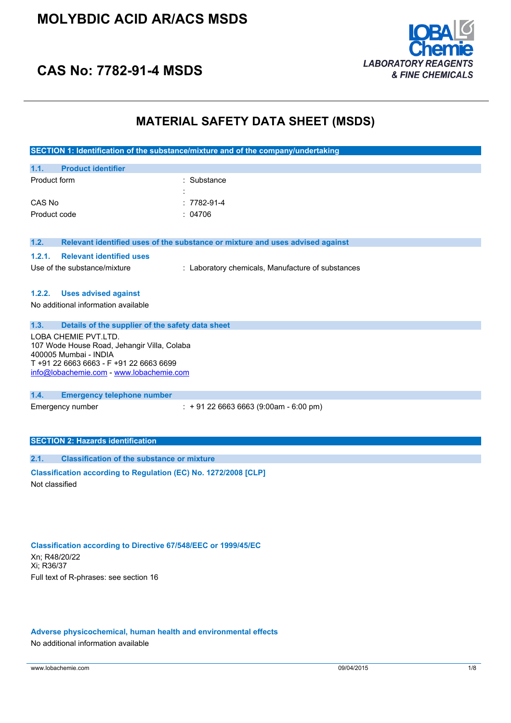

# **CAS No: 7782-91-4 MSDS**

## **MATERIAL SAFETY DATA SHEET (MSDS)**

|                                                                                                                                                                                     | SECTION 1: Identification of the substance/mixture and of the company/undertaking |  |
|-------------------------------------------------------------------------------------------------------------------------------------------------------------------------------------|-----------------------------------------------------------------------------------|--|
| <b>Product identifier</b><br>1.1.                                                                                                                                                   |                                                                                   |  |
| Product form                                                                                                                                                                        | Substance                                                                         |  |
| CAS No                                                                                                                                                                              | 7782-91-4                                                                         |  |
| Product code                                                                                                                                                                        | 04706                                                                             |  |
| 1.2.                                                                                                                                                                                | Relevant identified uses of the substance or mixture and uses advised against     |  |
| 1.2.1.<br><b>Relevant identified uses</b>                                                                                                                                           |                                                                                   |  |
| Use of the substance/mixture                                                                                                                                                        | : Laboratory chemicals, Manufacture of substances                                 |  |
| 1.2.2.<br><b>Uses advised against</b><br>No additional information available                                                                                                        |                                                                                   |  |
| Details of the supplier of the safety data sheet<br>1.3.                                                                                                                            |                                                                                   |  |
| LOBA CHEMIE PVT.LTD.<br>107 Wode House Road, Jehangir Villa, Colaba<br>400005 Mumbai - INDIA<br>T +91 22 6663 6663 - F +91 22 6663 6699<br>info@lobachemie.com - www.lobachemie.com |                                                                                   |  |
| 1.4.<br><b>Emergency telephone number</b>                                                                                                                                           |                                                                                   |  |
| Emergency number                                                                                                                                                                    | $: +912266636663(9:00am - 6:00 pm)$                                               |  |
| <b>SECTION 2: Hazards identification</b>                                                                                                                                            |                                                                                   |  |
| <b>Classification of the substance or mixture</b><br>2.1.                                                                                                                           |                                                                                   |  |
| Classification according to Regulation (EC) No. 1272/2008 [CLP]<br>Not classified                                                                                                   |                                                                                   |  |
|                                                                                                                                                                                     |                                                                                   |  |

#### **Classification according to Directive 67/548/EEC or 1999/45/EC**

Xn; R48/20/22 Xi; R36/37 Full text of R-phrases: see section 16

### **Adverse physicochemical, human health and environmental effects**

No additional information available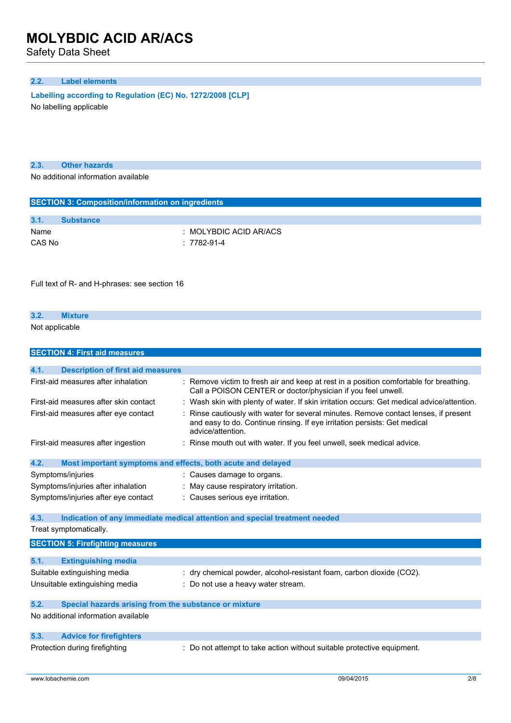Safety Data Sheet

## **2.2. Label elements**

**Labelling according to Regulation** (EC) **No. 1272/2008** [CLP]

No labelling applicable

**2.3. Other hazards**

No additional information available

| <b>SECTION 3: Composition/information on ingredients</b> |                        |  |
|----------------------------------------------------------|------------------------|--|
|                                                          |                        |  |
| 3.1.                                                     | <b>Substance</b>       |  |
| Name                                                     | : MOLYBDIC ACID AR/ACS |  |
| CAS No                                                   | : 7782-91-4            |  |

Full text of R- and H-phrases: see section 16

## **3.2. Mixture**

Not applicable

| <b>SECTION 4: First aid measures</b>                                |                                                                                                                                                                                      |
|---------------------------------------------------------------------|--------------------------------------------------------------------------------------------------------------------------------------------------------------------------------------|
|                                                                     |                                                                                                                                                                                      |
| 4.1.<br><b>Description of first aid measures</b>                    |                                                                                                                                                                                      |
| First-aid measures after inhalation                                 | : Remove victim to fresh air and keep at rest in a position comfortable for breathing.<br>Call a POISON CENTER or doctor/physician if you feel unwell.                               |
| First-aid measures after skin contact                               | : Wash skin with plenty of water. If skin irritation occurs: Get medical advice/attention.                                                                                           |
| First-aid measures after eye contact                                | Rinse cautiously with water for several minutes. Remove contact lenses, if present<br>and easy to do. Continue rinsing. If eye irritation persists: Get medical<br>advice/attention. |
| First-aid measures after ingestion                                  | : Rinse mouth out with water. If you feel unwell, seek medical advice.                                                                                                               |
| Most important symptoms and effects, both acute and delayed<br>4.2. |                                                                                                                                                                                      |
| Symptoms/injuries                                                   | : Causes damage to organs.                                                                                                                                                           |
| Symptoms/injuries after inhalation                                  | : May cause respiratory irritation.                                                                                                                                                  |
| Symptoms/injuries after eye contact                                 | : Causes serious eye irritation.                                                                                                                                                     |
| 4.3.                                                                | Indication of any immediate medical attention and special treatment needed                                                                                                           |
| Treat symptomatically.                                              |                                                                                                                                                                                      |
|                                                                     |                                                                                                                                                                                      |
| <b>SECTION 5: Firefighting measures</b>                             |                                                                                                                                                                                      |
| 5.1.<br><b>Extinguishing media</b>                                  |                                                                                                                                                                                      |
| Suitable extinguishing media                                        | : dry chemical powder, alcohol-resistant foam, carbon dioxide (CO2).                                                                                                                 |
| Unsuitable extinguishing media                                      | : Do not use a heavy water stream.                                                                                                                                                   |
| 5.2.<br>Special hazards arising from the substance or mixture       |                                                                                                                                                                                      |
| No additional information available                                 |                                                                                                                                                                                      |
|                                                                     |                                                                                                                                                                                      |
| 5.3.<br><b>Advice for firefighters</b>                              |                                                                                                                                                                                      |
| Protection during firefighting                                      | : Do not attempt to take action without suitable protective equipment.                                                                                                               |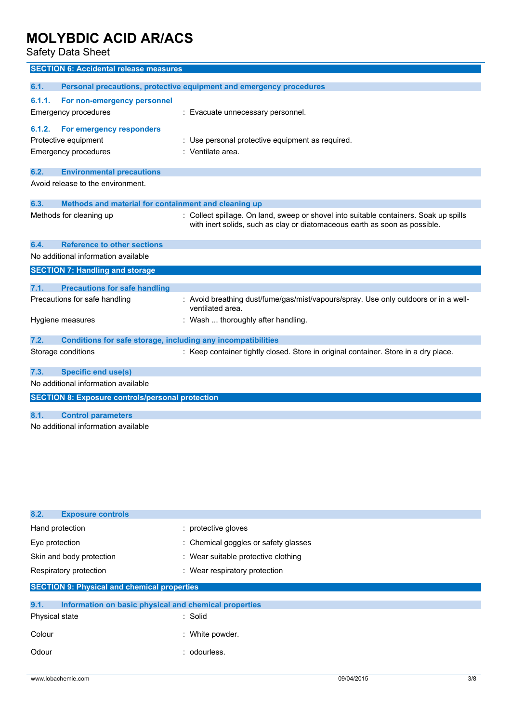Safety Data Sheet

|                                                         | <b>SECTION 6: Accidental release measures</b>                |                                                                                                                                                                     |
|---------------------------------------------------------|--------------------------------------------------------------|---------------------------------------------------------------------------------------------------------------------------------------------------------------------|
| 6.1.                                                    |                                                              | Personal precautions, protective equipment and emergency procedures                                                                                                 |
| 6.1.1.                                                  | For non-emergency personnel                                  |                                                                                                                                                                     |
|                                                         | Emergency procedures                                         | : Evacuate unnecessary personnel.                                                                                                                                   |
|                                                         |                                                              |                                                                                                                                                                     |
| 6.1.2.                                                  | For emergency responders                                     |                                                                                                                                                                     |
|                                                         | Protective equipment                                         | : Use personal protective equipment as required.                                                                                                                    |
|                                                         | Emergency procedures                                         | : Ventilate area.                                                                                                                                                   |
| 6.2.                                                    | <b>Environmental precautions</b>                             |                                                                                                                                                                     |
|                                                         | Avoid release to the environment.                            |                                                                                                                                                                     |
|                                                         |                                                              |                                                                                                                                                                     |
| 6.3.                                                    | Methods and material for containment and cleaning up         |                                                                                                                                                                     |
|                                                         | Methods for cleaning up                                      | : Collect spillage. On land, sweep or shovel into suitable containers. Soak up spills<br>with inert solids, such as clay or diatomaceous earth as soon as possible. |
| 6.4.                                                    | <b>Reference to other sections</b>                           |                                                                                                                                                                     |
|                                                         | No additional information available                          |                                                                                                                                                                     |
|                                                         | <b>SECTION 7: Handling and storage</b>                       |                                                                                                                                                                     |
|                                                         |                                                              |                                                                                                                                                                     |
| 7.1.                                                    | <b>Precautions for safe handling</b>                         |                                                                                                                                                                     |
|                                                         | Precautions for safe handling                                | : Avoid breathing dust/fume/gas/mist/vapours/spray. Use only outdoors or in a well-<br>ventilated area.                                                             |
|                                                         | Hygiene measures                                             | : Wash  thoroughly after handling.                                                                                                                                  |
| 7.2.                                                    | Conditions for safe storage, including any incompatibilities |                                                                                                                                                                     |
|                                                         | Storage conditions                                           | : Keep container tightly closed. Store in original container. Store in a dry place.                                                                                 |
| 7.3.                                                    | <b>Specific end use(s)</b>                                   |                                                                                                                                                                     |
|                                                         | No additional information available                          |                                                                                                                                                                     |
| <b>SECTION 8: Exposure controls/personal protection</b> |                                                              |                                                                                                                                                                     |
|                                                         |                                                              |                                                                                                                                                                     |
| 8.1.                                                    | <b>Control parameters</b>                                    |                                                                                                                                                                     |
|                                                         | No additional information available                          |                                                                                                                                                                     |

| 8.2.<br><b>Exposure controls</b>                              |                                      |  |
|---------------------------------------------------------------|--------------------------------------|--|
| Hand protection                                               | : protective gloves                  |  |
| Eye protection                                                | : Chemical goggles or safety glasses |  |
| Skin and body protection                                      | : Wear suitable protective clothing  |  |
| Respiratory protection                                        | : Wear respiratory protection        |  |
| <b>SECTION 9: Physical and chemical properties</b>            |                                      |  |
| 9.1.<br>Information on basic physical and chemical properties |                                      |  |
| Physical state                                                | : Solid                              |  |
|                                                               |                                      |  |

| Colour | : White powder. |
|--------|-----------------|
| Odour  | : odourless.    |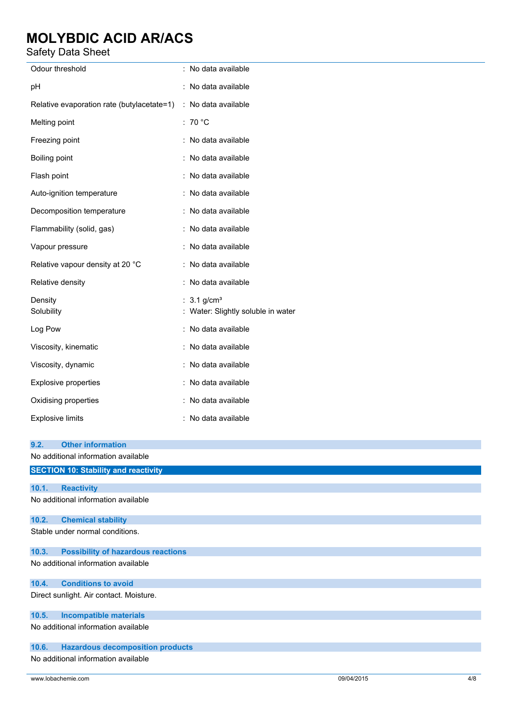## Safety Data Sheet

| raidty Data Ontou                                              |                                                                 |
|----------------------------------------------------------------|-----------------------------------------------------------------|
| Odour threshold                                                | : No data available                                             |
| pН                                                             | : No data available                                             |
| Relative evaporation rate (butylacetate=1) : No data available |                                                                 |
| Melting point                                                  | : 70 $^{\circ}$ C                                               |
| Freezing point                                                 | : No data available                                             |
| Boiling point                                                  | : No data available                                             |
| Flash point                                                    | : No data available                                             |
| Auto-ignition temperature                                      | : No data available                                             |
| Decomposition temperature                                      | : No data available                                             |
| Flammability (solid, gas)                                      | : No data available                                             |
| Vapour pressure                                                | : No data available                                             |
| Relative vapour density at 20 °C                               | : No data available                                             |
| Relative density                                               | : No data available                                             |
| Density<br>Solubility                                          | : $3.1$ g/cm <sup>3</sup><br>: Water: Slightly soluble in water |
| Log Pow                                                        | : No data available                                             |
| Viscosity, kinematic                                           | : No data available                                             |
| Viscosity, dynamic                                             | : No data available                                             |
| Explosive properties                                           | : No data available                                             |
| Oxidising properties                                           | : No data available                                             |
| <b>Explosive limits</b>                                        | : No data available                                             |
| <b>Other information</b><br>9.2.                               |                                                                 |
| No additional information available                            |                                                                 |
| <b>SECTION 10: Stability and reactivity</b>                    |                                                                 |
| <b>Reactivity</b><br>10.1.                                     |                                                                 |
| No additional information available                            |                                                                 |
| <b>Chemical stability</b><br>10.2.                             |                                                                 |
| Stable under normal conditions.                                |                                                                 |
| <b>Possibility of hazardous reactions</b><br>10.3.             |                                                                 |
| No additional information available                            |                                                                 |
| <b>Conditions to avoid</b><br>10.4.                            |                                                                 |
| Direct sunlight. Air contact. Moisture.                        |                                                                 |

## **10.5. Incompatible materials**

No additional information available

## **10.6. Hazardous decomposition products**

No additional information available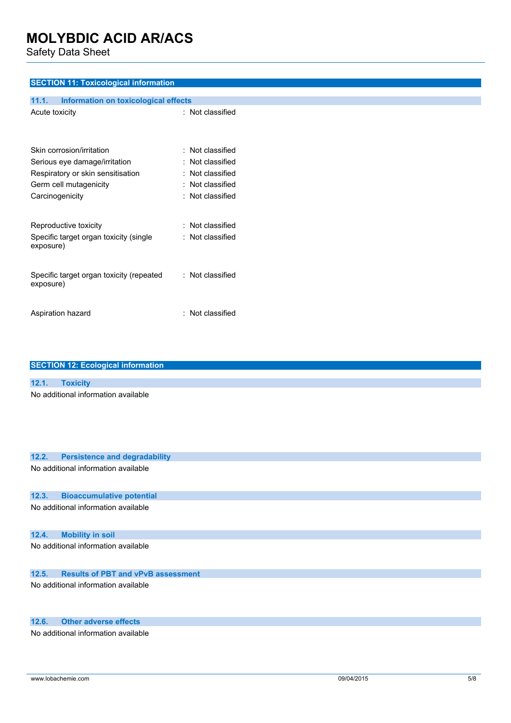Safety Data Sheet

## **SECTION 11: Toxicological information**

| 11.1.<br><b>Information on toxicological effects</b>  |                  |
|-------------------------------------------------------|------------------|
| Acute toxicity                                        | : Not classified |
| Skin corrosion/irritation                             | : Not classified |
| Serious eye damage/irritation                         | : Not classified |
| Respiratory or skin sensitisation                     | : Not classified |
| Germ cell mutagenicity                                | : Not classified |
| Carcinogenicity                                       | : Not classified |
| Reproductive toxicity                                 | : Not classified |
| Specific target organ toxicity (single<br>exposure)   | Not classified   |
| Specific target organ toxicity (repeated<br>exposure) | : Not classified |
| Aspiration hazard                                     | : Not classified |

| <b>SECTION 12: Ecological information</b>          |
|----------------------------------------------------|
|                                                    |
| 12.1.<br><b>Toxicity</b>                           |
| No additional information available                |
| 12.2.<br><b>Persistence and degradability</b>      |
| No additional information available                |
| <b>Bioaccumulative potential</b><br>12.3.          |
| No additional information available                |
| <b>Mobility in soil</b><br>12.4.                   |
| No additional information available                |
| 12.5.<br><b>Results of PBT and vPvB assessment</b> |
| No additional information available                |

## **12.6. Other adverse effects**

No additional information available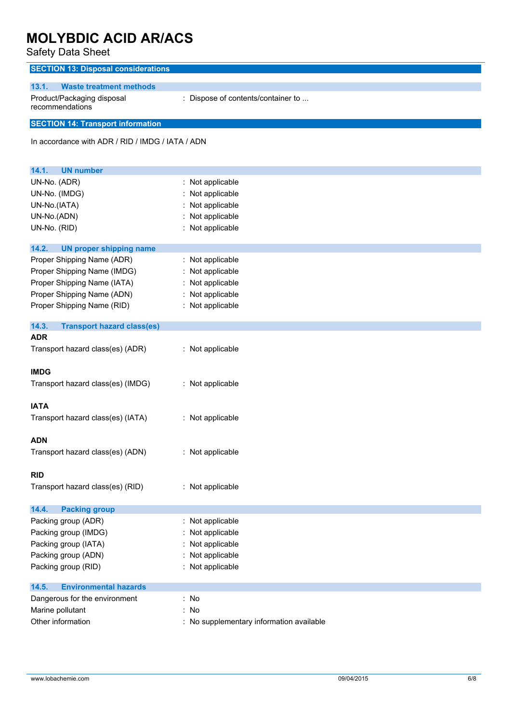Safety Data Sheet

| <b>SECTION 13: Disposal considerations</b>               |                                          |
|----------------------------------------------------------|------------------------------------------|
| 13.1.<br><b>Waste treatment methods</b>                  |                                          |
| Product/Packaging disposal<br>recommendations            | : Dispose of contents/container to       |
| <b>SECTION 14: Transport information</b>                 |                                          |
| In accordance with ADR / RID / IMDG / IATA / ADN         |                                          |
| <b>UN number</b><br>14.1.                                |                                          |
| UN-No. (ADR)                                             | : Not applicable                         |
| UN-No. (IMDG)                                            | : Not applicable                         |
| UN-No.(IATA)                                             | Not applicable                           |
| UN-No.(ADN)                                              | : Not applicable                         |
| UN-No. (RID)                                             | : Not applicable                         |
| 14.2.<br><b>UN proper shipping name</b>                  |                                          |
| Proper Shipping Name (ADR)                               | : Not applicable                         |
| Proper Shipping Name (IMDG)                              | : Not applicable                         |
| Proper Shipping Name (IATA)                              | : Not applicable                         |
| Proper Shipping Name (ADN)                               | : Not applicable                         |
| Proper Shipping Name (RID)                               | : Not applicable                         |
|                                                          |                                          |
| 14.3.<br><b>Transport hazard class(es)</b><br><b>ADR</b> |                                          |
| Transport hazard class(es) (ADR)                         | : Not applicable                         |
| <b>IMDG</b>                                              |                                          |
| Transport hazard class(es) (IMDG)                        | : Not applicable                         |
|                                                          |                                          |
| <b>IATA</b>                                              |                                          |
| Transport hazard class(es) (IATA)                        | : Not applicable                         |
|                                                          |                                          |
| <b>ADN</b>                                               |                                          |
| Transport hazard class(es) (ADN)                         | : Not applicable                         |
| <b>RID</b>                                               |                                          |
| Transport hazard class(es) (RID)                         | : Not applicable                         |
|                                                          |                                          |
| 14.4.<br><b>Packing group</b>                            |                                          |
| Packing group (ADR)                                      | : Not applicable                         |
| Packing group (IMDG)                                     | Not applicable                           |
| Packing group (IATA)                                     | : Not applicable                         |
| Packing group (ADN)                                      | Not applicable                           |
| Packing group (RID)                                      | : Not applicable                         |
| 14.5.<br><b>Environmental hazards</b>                    |                                          |
| Dangerous for the environment                            | : No                                     |
| Marine pollutant                                         | : No                                     |
| Other information                                        | : No supplementary information available |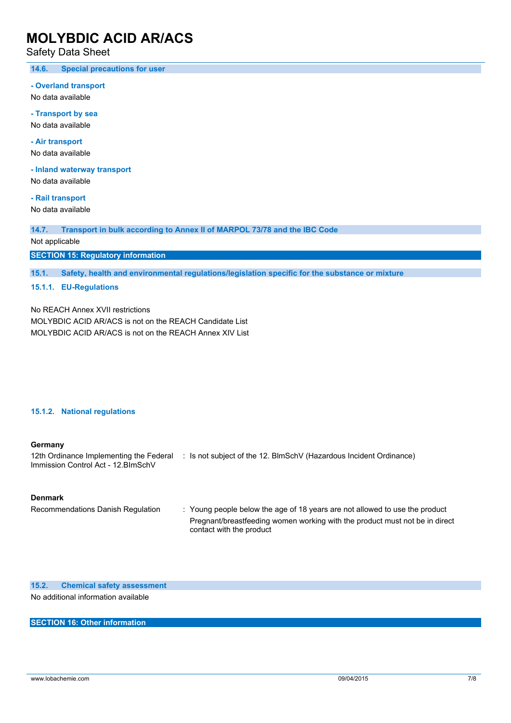Safety Data Sheet

#### **14.6. Special precautions for user**

**- Overland transport**

No data available

**- Transport by sea** No data available

**- Air transport** No data available

**- Inland waterway transport**

No data available

**- Rail transport** No data available

**14.7. Transport in bulk according to Annex II of MARPOL 73/78 and the IBC Code**

Not applicable

**SECTION 15: Regulatory information**

**15.1. Safety, health and environmental regulations/legislation specific for the substance or mixture**

### **15.1.1. EU-Regulations**

No REACH Annex XVII restrictions MOLYBDIC ACID AR/ACS is not on the REACH Candidate List MOLYBDIC ACID AR/ACS is not on the REACH Annex XIV List

#### **15.1.2. National regulations**

#### **Germany**

12th Ordinance Implementing the Federal : Is not subject of the 12. BlmSchV (Hazardous Incident Ordinance) Immission Control Act - 12.BImSchV

#### **Denmark**

Recommendations Danish Regulation : Young people below the age of 18 years are not allowed to use the product Pregnant/breastfeeding women working with the product must not be in direct contact with the product

**15.2. Chemical safety assessment**

No additional information available

### **SECTION 16: Other information**